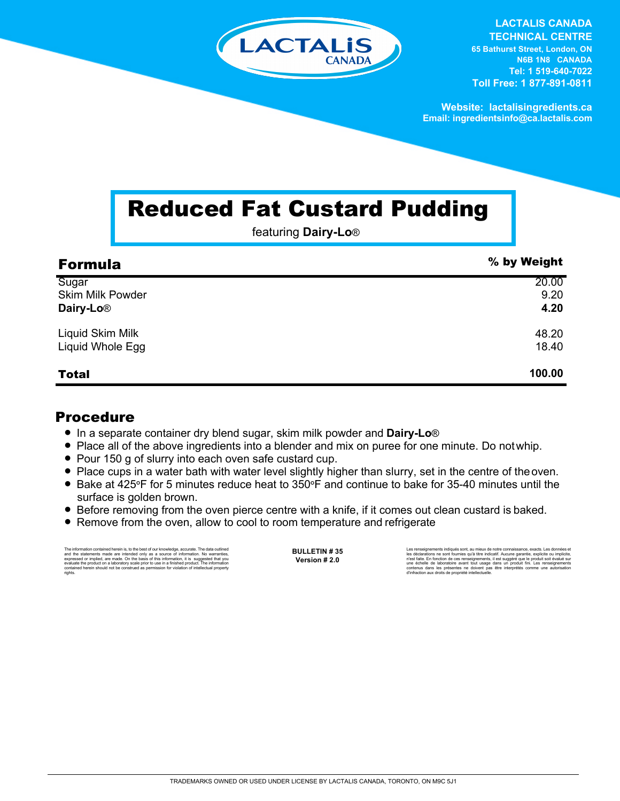

**LACTALIS CANADA TECHNICAL CENTRE 65 Bathurst Street, London, ON N6B 1N8 CANADA Tel: 1 519-640-7022 Toll Free: 1 877-891-0811**

**Website: lactalisingredients.ca Email: ingredientsinfo@ca.lactalis.com**

## Reduced Fat Custard Pudding

featuring **Dairy-Lo**®

| <b>Formula</b>          | % by Weight |
|-------------------------|-------------|
| Sugar                   | 20.00       |
| <b>Skim Milk Powder</b> | 9.20        |
| Dairy-Lo <sup>®</sup>   | 4.20        |
| Liquid Skim Milk        | 48.20       |
| Liquid Whole Egg        | 18.40       |
| <b>Total</b>            | 100.00      |

## Procedure

- = In a separate container dry blend sugar, skim milk powder and **Dairy-Lo**®
- Place all of the above ingredients into a blender and mix on puree for one minute. Do not whip.
- Pour 150 g of slurry into each oven safe custard cup.
- = Place cups in a water bath with water level slightly higher than slurry, set in the centre of theoven.
- = Bake at 425**°**F for 5 minutes reduce heat to 350**°**F and continue to bake for 35-40 minutes until the surface is golden brown.
- Before removing from the oven pierce centre with a knife, if it comes out clean custard is baked.
- Remove from the oven, allow to cool to room temperature and refrigerate

The information contained herein is, to the best of our knowledge, accurate. The data outlined<br>and the statements made are intended only as a a source of information. No warranties,<br>expressed or implied, are made. On the b rights.

**BULLETIN # 35 Version # 2.0**

Les renseignements indiqués sont, au mieux de notre connaissance, exacts. Les données et<br>les déclarations ne sont fournies qu'à titre indicatif. Aucune garantie, explicite ou implicite,<br>riest faite. En fonction de ces rens